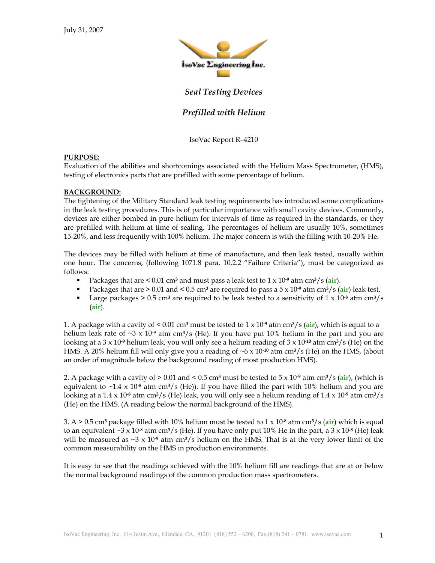

# *Seal Testing Devices*

## *Prefilled with Helium*

IsoVac Report R–4210

#### **PURPOSE:**

Evaluation of the abilities and shortcomings associated with the Helium Mass Spectrometer, (HMS), testing of electronics parts that are prefilled with some percentage of helium.

#### **BACKGROUND:**

The tightening of the Military Standard leak testing requirements has introduced some complications in the leak testing procedures. This is of particular importance with small cavity devices. Commonly, devices are either bombed in pure helium for intervals of time as required in the standards, or they are prefilled with helium at time of sealing. The percentages of helium are usually 10%, sometimes 15-20%, and less frequently with 100% helium. The major concern is with the filling with 10-20% He.

The devices may be filled with helium at time of manufacture, and then leak tested, usually within one hour. The concerns, (following 1071.8 para. 10.2.2 "Failure Criteria"), must be categorized as follows:

- Packages that are < 0.01 cm**3** and must pass a leak test to 1 x 10**-9** atm cm**3**/s (**air**).
- Packages that are > 0.01 and < 0.5 cm**<sup>3</sup>** are required to pass a 5 x 10**-9** atm cm**3**/s (**air**) leak test.
- **Large packages > 0.5 cm<sup>3</sup> are required to be leak tested to a sensitivity of**  $1 \times 10^{-8}$  **atm cm<sup>3</sup>/s** (**air**).

1. A package with a cavity of < 0.01 cm**<sup>3</sup>** must be tested to 1 x 10**-9** atm cm**3**/s (**air**), which is equal to a helium leak rate of ~3 x 10**-9** atm cm**3**/s (He). If you have put 10% helium in the part and you are looking at a 3 x 10**-9** helium leak, you will only see a helium reading of 3 x 10**-10** atm cm**3**/s (He) on the HMS. A 20% helium fill will only give you a reading of ~6 x 10**-10** atm cm**3**/s (He) on the HMS, (about an order of magnitude below the background reading of most production HMS).

2. A package with a cavity of  $> 0.01$  and  $< 0.5$  cm<sup>3</sup> must be tested to  $5 \times 10^{-9}$  atm cm<sup>3</sup>/s (air), (which is equivalent to ~1.4 x 10**-8** atm cm**3**/s (He)). If you have filled the part with 10% helium and you are looking at a 1.4 x 10**-8** atm cm**3**/s (He) leak, you will only see a helium reading of 1.4 x 10**-9** atm cm**3**/s (He) on the HMS. (A reading below the normal background of the HMS).

3. A > 0.5 cm**3** package filled with 10% helium must be tested to 1 x 10**-8** atm cm**3**/s (**air**) which is equal to an equivalent  $\sim 3 \times 10^8$  atm cm<sup>3</sup>/s (He). If you have only put 10% He in the part, a  $3 \times 10^8$  (He) leak will be measured as  $\sim$ 3 x 10<sup>-9</sup> atm cm<sup>3</sup>/s helium on the HMS. That is at the very lower limit of the common measurability on the HMS in production environments.

It is easy to see that the readings achieved with the 10% helium fill are readings that are at or below the normal background readings of the common production mass spectrometers.